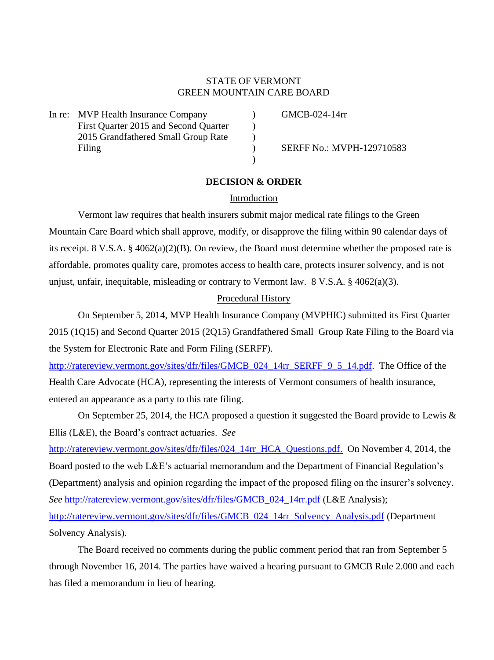# STATE OF VERMONT GREEN MOUNTAIN CARE BOARD

In re: MVP Health Insurance Company (GMCB-024-14rr First Quarter 2015 and Second Quarter  $\qquad$  ) 2015 Grandfathered Small Group Rate ) Filing (a) SERFF No.: MVPH-129710583

## **DECISION & ORDER**

 $\lambda$ 

## Introduction

Vermont law requires that health insurers submit major medical rate filings to the Green Mountain Care Board which shall approve, modify, or disapprove the filing within 90 calendar days of its receipt. 8 V.S.A. § 4062(a)(2)(B). On review, the Board must determine whether the proposed rate is affordable, promotes quality care, promotes access to health care, protects insurer solvency, and is not unjust, unfair, inequitable, misleading or contrary to Vermont law. 8 V.S.A. § 4062(a)(3).

## Procedural History

On September 5, 2014, MVP Health Insurance Company (MVPHIC) submitted its First Quarter 2015 (1Q15) and Second Quarter 2015 (2Q15) Grandfathered Small Group Rate Filing to the Board via the System for Electronic Rate and Form Filing (SERFF).

[http://ratereview.vermont.gov/sites/dfr/files/GMCB\\_024\\_14rr\\_SERFF\\_9\\_5\\_14.pdf.](http://ratereview.vermont.gov/sites/dfr/files/GMCB_024_14rr_SERFF_9_5_14.pdf) The Office of the Health Care Advocate (HCA), representing the interests of Vermont consumers of health insurance, entered an appearance as a party to this rate filing.

On September 25, 2014, the HCA proposed a question it suggested the Board provide to Lewis & Ellis (L&E), the Board's contract actuaries. *See*

[http://ratereview.vermont.gov/sites/dfr/files/024\\_14rr\\_HCA\\_Questions.pdf.](http://ratereview.vermont.gov/sites/dfr/files/024_14rr_HCA_Questions.pdf) On November 4, 2014, the Board posted to the web L&E's actuarial memorandum and the Department of Financial Regulation's (Department) analysis and opinion regarding the impact of the proposed filing on the insurer's solvency. *See* [http://ratereview.vermont.gov/sites/dfr/files/GMCB\\_024\\_14rr.pdf](http://ratereview.vermont.gov/sites/dfr/files/GMCB_024_14rr.pdf) (L&E Analysis); [http://ratereview.vermont.gov/sites/dfr/files/GMCB\\_024\\_14rr\\_Solvency\\_Analysis.pdf](http://ratereview.vermont.gov/sites/dfr/files/GMCB_024_14rr_Solvency_Analysis.pdf) (Department Solvency Analysis).

The Board received no comments during the public comment period that ran from September 5 through November 16, 2014. The parties have waived a hearing pursuant to GMCB Rule 2.000 and each has filed a memorandum in lieu of hearing.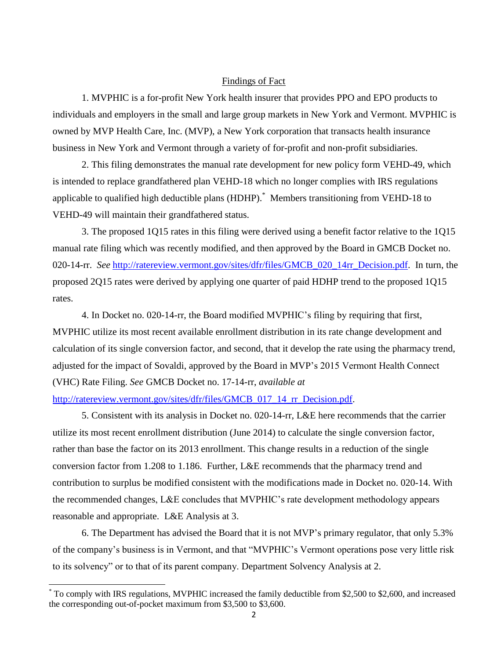#### Findings of Fact

1. MVPHIC is a for-profit New York health insurer that provides PPO and EPO products to individuals and employers in the small and large group markets in New York and Vermont. MVPHIC is owned by MVP Health Care, Inc. (MVP), a New York corporation that transacts health insurance business in New York and Vermont through a variety of for-profit and non-profit subsidiaries.

2. This filing demonstrates the manual rate development for new policy form VEHD-49, which is intended to replace grandfathered plan VEHD-18 which no longer complies with IRS regulations applicable to qualified high deductible plans (HDHP). \* Members transitioning from VEHD-18 to VEHD-49 will maintain their grandfathered status.

3. The proposed 1Q15 rates in this filing were derived using a benefit factor relative to the 1Q15 manual rate filing which was recently modified, and then approved by the Board in GMCB Docket no. 020-14-rr. *See* [http://ratereview.vermont.gov/sites/dfr/files/GMCB\\_020\\_14rr\\_Decision.pdf.](http://ratereview.vermont.gov/sites/dfr/files/GMCB_020_14rr_Decision.pdf) In turn, the proposed 2Q15 rates were derived by applying one quarter of paid HDHP trend to the proposed 1Q15 rates.

4. In Docket no. 020-14-rr, the Board modified MVPHIC's filing by requiring that first, MVPHIC utilize its most recent available enrollment distribution in its rate change development and calculation of its single conversion factor, and second, that it develop the rate using the pharmacy trend, adjusted for the impact of Sovaldi, approved by the Board in MVP's 2015 Vermont Health Connect (VHC) Rate Filing. *See* GMCB Docket no. 17-14-rr, *available at*

[http://ratereview.vermont.gov/sites/dfr/files/GMCB\\_017\\_14\\_rr\\_Decision.pdf.](http://ratereview.vermont.gov/sites/dfr/files/GMCB_017_14_rr_Decision.pdf)

 $\overline{a}$ 

5. Consistent with its analysis in Docket no. 020-14-rr, L&E here recommends that the carrier utilize its most recent enrollment distribution (June 2014) to calculate the single conversion factor, rather than base the factor on its 2013 enrollment. This change results in a reduction of the single conversion factor from 1.208 to 1.186. Further, L&E recommends that the pharmacy trend and contribution to surplus be modified consistent with the modifications made in Docket no. 020-14. With the recommended changes, L&E concludes that MVPHIC's rate development methodology appears reasonable and appropriate. L&E Analysis at 3.

6. The Department has advised the Board that it is not MVP's primary regulator, that only 5.3% of the company's business is in Vermont, and that "MVPHIC's Vermont operations pose very little risk to its solvency" or to that of its parent company. Department Solvency Analysis at 2.

<sup>\*</sup> To comply with IRS regulations, MVPHIC increased the family deductible from \$2,500 to \$2,600, and increased the corresponding out-of-pocket maximum from \$3,500 to \$3,600.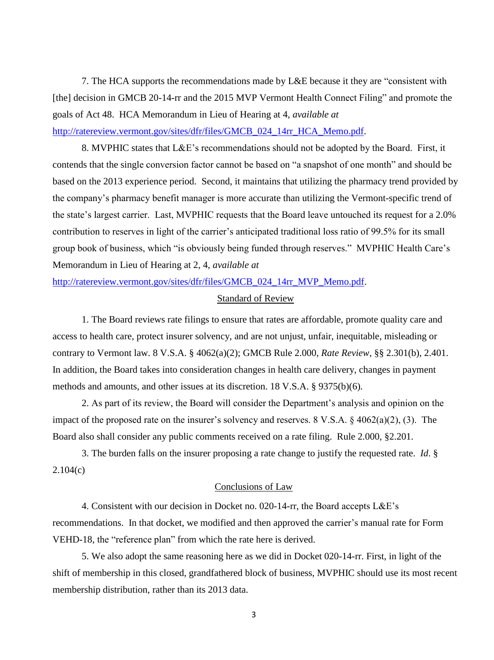7. The HCA supports the recommendations made by L&E because it they are "consistent with [the] decision in GMCB 20-14-rr and the 2015 MVP Vermont Health Connect Filing" and promote the goals of Act 48. HCA Memorandum in Lieu of Hearing at 4, *available at* [http://ratereview.vermont.gov/sites/dfr/files/GMCB\\_024\\_14rr\\_HCA\\_Memo.pdf.](http://ratereview.vermont.gov/sites/dfr/files/GMCB_024_14rr_HCA_Memo.pdf)

8. MVPHIC states that L&E's recommendations should not be adopted by the Board. First, it contends that the single conversion factor cannot be based on "a snapshot of one month" and should be based on the 2013 experience period. Second, it maintains that utilizing the pharmacy trend provided by the company's pharmacy benefit manager is more accurate than utilizing the Vermont-specific trend of the state's largest carrier. Last, MVPHIC requests that the Board leave untouched its request for a 2.0% contribution to reserves in light of the carrier's anticipated traditional loss ratio of 99.5% for its small group book of business, which "is obviously being funded through reserves." MVPHIC Health Care's Memorandum in Lieu of Hearing at 2, 4, *available at*

[http://ratereview.vermont.gov/sites/dfr/files/GMCB\\_024\\_14rr\\_MVP\\_Memo.pdf.](http://ratereview.vermont.gov/sites/dfr/files/GMCB_024_14rr_MVP_Memo.pdf)

#### Standard of Review

1. The Board reviews rate filings to ensure that rates are affordable, promote quality care and access to health care, protect insurer solvency, and are not unjust, unfair, inequitable, misleading or contrary to Vermont law. 8 V.S.A. § 4062(a)(2); GMCB Rule 2.000, *Rate Review*, §§ 2.301(b), 2.401. In addition, the Board takes into consideration changes in health care delivery, changes in payment methods and amounts, and other issues at its discretion. 18 V.S.A. § 9375(b)(6).

2. As part of its review, the Board will consider the Department's analysis and opinion on the impact of the proposed rate on the insurer's solvency and reserves. 8 V.S.A. § 4062(a)(2), (3). The Board also shall consider any public comments received on a rate filing. Rule 2.000, §2.201.

3. The burden falls on the insurer proposing a rate change to justify the requested rate. *Id*. § 2.104(c)

## Conclusions of Law

4. Consistent with our decision in Docket no. 020-14-rr, the Board accepts L&E's recommendations. In that docket, we modified and then approved the carrier's manual rate for Form VEHD-18, the "reference plan" from which the rate here is derived.

5. We also adopt the same reasoning here as we did in Docket 020-14-rr. First, in light of the shift of membership in this closed, grandfathered block of business, MVPHIC should use its most recent membership distribution, rather than its 2013 data.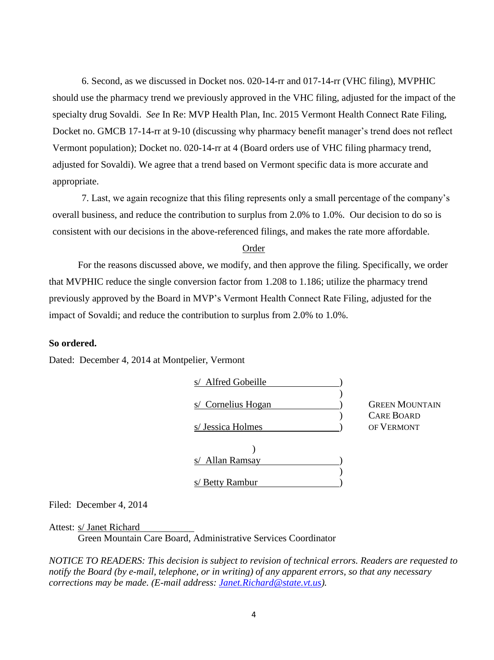6. Second, as we discussed in Docket nos. 020-14-rr and 017-14-rr (VHC filing), MVPHIC should use the pharmacy trend we previously approved in the VHC filing, adjusted for the impact of the specialty drug Sovaldi. *See* In Re: MVP Health Plan, Inc. 2015 Vermont Health Connect Rate Filing, Docket no. GMCB 17-14-rr at 9-10 (discussing why pharmacy benefit manager's trend does not reflect Vermont population); Docket no. 020-14-rr at 4 (Board orders use of VHC filing pharmacy trend, adjusted for Sovaldi). We agree that a trend based on Vermont specific data is more accurate and appropriate.

7. Last, we again recognize that this filing represents only a small percentage of the company's overall business, and reduce the contribution to surplus from 2.0% to 1.0%. Our decision to do so is consistent with our decisions in the above-referenced filings, and makes the rate more affordable.

#### Order

For the reasons discussed above, we modify, and then approve the filing. Specifically, we order that MVPHIC reduce the single conversion factor from 1.208 to 1.186; utilize the pharmacy trend previously approved by the Board in MVP's Vermont Health Connect Rate Filing, adjusted for the impact of Sovaldi; and reduce the contribution to surplus from 2.0% to 1.0%.

### **So ordered.**

Dated: December 4, 2014 at Montpelier, Vermont

| Alfred Gobeille<br>$\mathbf{s}/$ |                       |
|----------------------------------|-----------------------|
|                                  |                       |
| Cornelius Hogan<br>S/            | <b>GREEN MOUNTAIN</b> |
|                                  | <b>CARE BOARD</b>     |
| s/ Jessica Holmes                | OF VERMONT            |
|                                  |                       |
|                                  |                       |
| Allan Ramsay<br>S/               |                       |
|                                  |                       |
| s/ Betty Rambur                  |                       |

Filed: December 4, 2014

#### Attest: s/ Janet Richard

Green Mountain Care Board, Administrative Services Coordinator

*NOTICE TO READERS: This decision is subject to revision of technical errors. Readers are requested to notify the Board (by e-mail, telephone, or in writing) of any apparent errors, so that any necessary corrections may be made. (E-mail address: [Janet.Richard@state.vt.us\)](mailto:Janet.Richard@state.vt.us).*